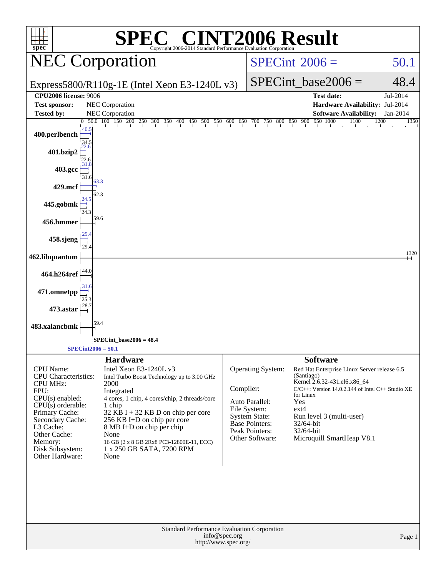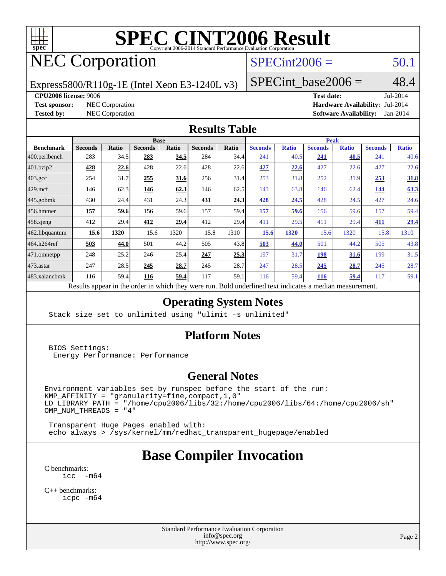

# NEC Corporation

# $SPECint2006 = 50.1$  $SPECint2006 = 50.1$

Express5800/R110g-1E (Intel Xeon E3-1240L v3)

SPECint base2006 =  $48.4$ 

**[CPU2006 license:](http://www.spec.org/auto/cpu2006/Docs/result-fields.html#CPU2006license)** 9006 **[Test date:](http://www.spec.org/auto/cpu2006/Docs/result-fields.html#Testdate)** Jul-2014

**[Test sponsor:](http://www.spec.org/auto/cpu2006/Docs/result-fields.html#Testsponsor)** NEC Corporation **[Hardware Availability:](http://www.spec.org/auto/cpu2006/Docs/result-fields.html#HardwareAvailability)** Jul-2014 **[Tested by:](http://www.spec.org/auto/cpu2006/Docs/result-fields.html#Testedby)** NEC Corporation **[Software Availability:](http://www.spec.org/auto/cpu2006/Docs/result-fields.html#SoftwareAvailability)** Jan-2014

#### **[Results Table](http://www.spec.org/auto/cpu2006/Docs/result-fields.html#ResultsTable)**

| <b>Base</b>    |       |                |       |                | <b>Peak</b> |                |              |                |              |                |              |
|----------------|-------|----------------|-------|----------------|-------------|----------------|--------------|----------------|--------------|----------------|--------------|
| <b>Seconds</b> | Ratio | <b>Seconds</b> | Ratio | <b>Seconds</b> | Ratio       | <b>Seconds</b> | <b>Ratio</b> | <b>Seconds</b> | <b>Ratio</b> | <b>Seconds</b> | <b>Ratio</b> |
| 283            | 34.5  | 283            | 34.5  | 284            | 34.4        | 241            | 40.5         | 241            | 40.5         | 241            | 40.6         |
| 428            | 22.6  | 428            | 22.6  | 428            | 22.6        | 427            | 22.6         | 427            | 22.6         | 427            | 22.6         |
| 254            | 31.7  | 255            | 31.6  | 256            | 31.4        | 253            | 31.8         | 252            | 31.9         | 253            | 31.8         |
| 146            | 62.3  | 146            | 62.3  | 146            | 62.5        | 143            | 63.8         | 146            | 62.4         | 144            | 63.3         |
| 430            | 24.4  | 431            | 24.3  | 431            | 24.3        | 428            | 24.5         | 428            | 24.5         | 427            | 24.6         |
| 157            | 59.6  | 156            | 59.6  | 157            | 59.4        | 157            | 59.6         | 156            | 59.6         | 157            | 59.4         |
| 412            | 29.4  | 412            | 29.4  | 412            | 29.4        | 411            | 29.5         | 411            | 29.4         | 411            | 29.4         |
| 15.6           | 1320  | 15.6           | 1320  | 15.8           | 1310        | 15.6           | 1320         | 15.6           | 1320         | 15.8           | 1310         |
| 503            | 44.0  | 501            | 44.2  | 505            | 43.8        | 503            | 44.0         | 501            | 44.2         | 505            | 43.8         |
| 248            | 25.2  | 246            | 25.4  | 247            | 25.3        | 197            | 31.7         | 198            | 31.6         | 199            | 31.5         |
| 247            | 28.5  | 245            | 28.7  | 245            | 28.7        | 247            | 28.5         | 245            | 28.7         | 245            | 28.7         |
| 116            | 59.4  | 116            | 59.4  | 117            | 59.1        | 116            | 59.4         | 116            | <u>59.4</u>  | 117            | 59.1         |
|                |       | 2.111          |       |                |             |                |              |                |              |                |              |

Results appear in the [order in which they were run.](http://www.spec.org/auto/cpu2006/Docs/result-fields.html#RunOrder) Bold underlined text [indicates a median measurement.](http://www.spec.org/auto/cpu2006/Docs/result-fields.html#Median)

### **[Operating System Notes](http://www.spec.org/auto/cpu2006/Docs/result-fields.html#OperatingSystemNotes)**

Stack size set to unlimited using "ulimit -s unlimited"

#### **[Platform Notes](http://www.spec.org/auto/cpu2006/Docs/result-fields.html#PlatformNotes)**

 BIOS Settings: Energy Performance: Performance

#### **[General Notes](http://www.spec.org/auto/cpu2006/Docs/result-fields.html#GeneralNotes)**

Environment variables set by runspec before the start of the run:  $KMP_A$ FFINITY = "granularity=fine, compact, 1, 0" LD\_LIBRARY\_PATH = "/home/cpu2006/libs/32:/home/cpu2006/libs/64:/home/cpu2006/sh"  $OMP_NUM_THREADS = "4"$ 

 Transparent Huge Pages enabled with: echo always > /sys/kernel/mm/redhat\_transparent\_hugepage/enabled

# **[Base Compiler Invocation](http://www.spec.org/auto/cpu2006/Docs/result-fields.html#BaseCompilerInvocation)**

[C benchmarks](http://www.spec.org/auto/cpu2006/Docs/result-fields.html#Cbenchmarks): [icc -m64](http://www.spec.org/cpu2006/results/res2014q3/cpu2006-20140805-30764.flags.html#user_CCbase_intel_icc_64bit_f346026e86af2a669e726fe758c88044)

[C++ benchmarks:](http://www.spec.org/auto/cpu2006/Docs/result-fields.html#CXXbenchmarks) [icpc -m64](http://www.spec.org/cpu2006/results/res2014q3/cpu2006-20140805-30764.flags.html#user_CXXbase_intel_icpc_64bit_fc66a5337ce925472a5c54ad6a0de310)

> Standard Performance Evaluation Corporation [info@spec.org](mailto:info@spec.org) <http://www.spec.org/>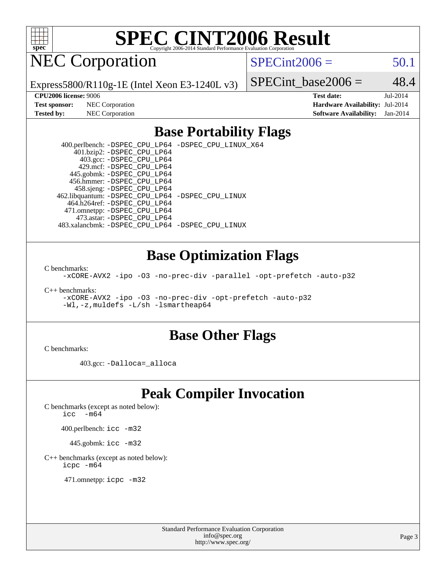

NEC Corporation

 $SPECint2006 = 50.1$  $SPECint2006 = 50.1$ 

Express5800/R110g-1E (Intel Xeon E3-1240L v3)

SPECint base2006 =  $48.4$ 

**[CPU2006 license:](http://www.spec.org/auto/cpu2006/Docs/result-fields.html#CPU2006license)** 9006 **[Test date:](http://www.spec.org/auto/cpu2006/Docs/result-fields.html#Testdate)** Jul-2014 **[Test sponsor:](http://www.spec.org/auto/cpu2006/Docs/result-fields.html#Testsponsor)** NEC Corporation **[Hardware Availability:](http://www.spec.org/auto/cpu2006/Docs/result-fields.html#HardwareAvailability)** Jul-2014 **[Tested by:](http://www.spec.org/auto/cpu2006/Docs/result-fields.html#Testedby)** NEC Corporation **[Software Availability:](http://www.spec.org/auto/cpu2006/Docs/result-fields.html#SoftwareAvailability)** Jan-2014

### **[Base Portability Flags](http://www.spec.org/auto/cpu2006/Docs/result-fields.html#BasePortabilityFlags)**

 400.perlbench: [-DSPEC\\_CPU\\_LP64](http://www.spec.org/cpu2006/results/res2014q3/cpu2006-20140805-30764.flags.html#b400.perlbench_basePORTABILITY_DSPEC_CPU_LP64) [-DSPEC\\_CPU\\_LINUX\\_X64](http://www.spec.org/cpu2006/results/res2014q3/cpu2006-20140805-30764.flags.html#b400.perlbench_baseCPORTABILITY_DSPEC_CPU_LINUX_X64) 401.bzip2: [-DSPEC\\_CPU\\_LP64](http://www.spec.org/cpu2006/results/res2014q3/cpu2006-20140805-30764.flags.html#suite_basePORTABILITY401_bzip2_DSPEC_CPU_LP64) 403.gcc: [-DSPEC\\_CPU\\_LP64](http://www.spec.org/cpu2006/results/res2014q3/cpu2006-20140805-30764.flags.html#suite_basePORTABILITY403_gcc_DSPEC_CPU_LP64) 429.mcf: [-DSPEC\\_CPU\\_LP64](http://www.spec.org/cpu2006/results/res2014q3/cpu2006-20140805-30764.flags.html#suite_basePORTABILITY429_mcf_DSPEC_CPU_LP64) 445.gobmk: [-DSPEC\\_CPU\\_LP64](http://www.spec.org/cpu2006/results/res2014q3/cpu2006-20140805-30764.flags.html#suite_basePORTABILITY445_gobmk_DSPEC_CPU_LP64) 456.hmmer: [-DSPEC\\_CPU\\_LP64](http://www.spec.org/cpu2006/results/res2014q3/cpu2006-20140805-30764.flags.html#suite_basePORTABILITY456_hmmer_DSPEC_CPU_LP64) 458.sjeng: [-DSPEC\\_CPU\\_LP64](http://www.spec.org/cpu2006/results/res2014q3/cpu2006-20140805-30764.flags.html#suite_basePORTABILITY458_sjeng_DSPEC_CPU_LP64) 462.libquantum: [-DSPEC\\_CPU\\_LP64](http://www.spec.org/cpu2006/results/res2014q3/cpu2006-20140805-30764.flags.html#suite_basePORTABILITY462_libquantum_DSPEC_CPU_LP64) [-DSPEC\\_CPU\\_LINUX](http://www.spec.org/cpu2006/results/res2014q3/cpu2006-20140805-30764.flags.html#b462.libquantum_baseCPORTABILITY_DSPEC_CPU_LINUX) 464.h264ref: [-DSPEC\\_CPU\\_LP64](http://www.spec.org/cpu2006/results/res2014q3/cpu2006-20140805-30764.flags.html#suite_basePORTABILITY464_h264ref_DSPEC_CPU_LP64) 471.omnetpp: [-DSPEC\\_CPU\\_LP64](http://www.spec.org/cpu2006/results/res2014q3/cpu2006-20140805-30764.flags.html#suite_basePORTABILITY471_omnetpp_DSPEC_CPU_LP64) 473.astar: [-DSPEC\\_CPU\\_LP64](http://www.spec.org/cpu2006/results/res2014q3/cpu2006-20140805-30764.flags.html#suite_basePORTABILITY473_astar_DSPEC_CPU_LP64) 483.xalancbmk: [-DSPEC\\_CPU\\_LP64](http://www.spec.org/cpu2006/results/res2014q3/cpu2006-20140805-30764.flags.html#suite_basePORTABILITY483_xalancbmk_DSPEC_CPU_LP64) [-DSPEC\\_CPU\\_LINUX](http://www.spec.org/cpu2006/results/res2014q3/cpu2006-20140805-30764.flags.html#b483.xalancbmk_baseCXXPORTABILITY_DSPEC_CPU_LINUX)

### **[Base Optimization Flags](http://www.spec.org/auto/cpu2006/Docs/result-fields.html#BaseOptimizationFlags)**

[C benchmarks](http://www.spec.org/auto/cpu2006/Docs/result-fields.html#Cbenchmarks):

[-xCORE-AVX2](http://www.spec.org/cpu2006/results/res2014q3/cpu2006-20140805-30764.flags.html#user_CCbase_f-xAVX2_5f5fc0cbe2c9f62c816d3e45806c70d7) [-ipo](http://www.spec.org/cpu2006/results/res2014q3/cpu2006-20140805-30764.flags.html#user_CCbase_f-ipo) [-O3](http://www.spec.org/cpu2006/results/res2014q3/cpu2006-20140805-30764.flags.html#user_CCbase_f-O3) [-no-prec-div](http://www.spec.org/cpu2006/results/res2014q3/cpu2006-20140805-30764.flags.html#user_CCbase_f-no-prec-div) [-parallel](http://www.spec.org/cpu2006/results/res2014q3/cpu2006-20140805-30764.flags.html#user_CCbase_f-parallel) [-opt-prefetch](http://www.spec.org/cpu2006/results/res2014q3/cpu2006-20140805-30764.flags.html#user_CCbase_f-opt-prefetch) [-auto-p32](http://www.spec.org/cpu2006/results/res2014q3/cpu2006-20140805-30764.flags.html#user_CCbase_f-auto-p32)

[C++ benchmarks:](http://www.spec.org/auto/cpu2006/Docs/result-fields.html#CXXbenchmarks)

[-xCORE-AVX2](http://www.spec.org/cpu2006/results/res2014q3/cpu2006-20140805-30764.flags.html#user_CXXbase_f-xAVX2_5f5fc0cbe2c9f62c816d3e45806c70d7) [-ipo](http://www.spec.org/cpu2006/results/res2014q3/cpu2006-20140805-30764.flags.html#user_CXXbase_f-ipo) [-O3](http://www.spec.org/cpu2006/results/res2014q3/cpu2006-20140805-30764.flags.html#user_CXXbase_f-O3) [-no-prec-div](http://www.spec.org/cpu2006/results/res2014q3/cpu2006-20140805-30764.flags.html#user_CXXbase_f-no-prec-div) [-opt-prefetch](http://www.spec.org/cpu2006/results/res2014q3/cpu2006-20140805-30764.flags.html#user_CXXbase_f-opt-prefetch) [-auto-p32](http://www.spec.org/cpu2006/results/res2014q3/cpu2006-20140805-30764.flags.html#user_CXXbase_f-auto-p32) [-Wl,-z,muldefs](http://www.spec.org/cpu2006/results/res2014q3/cpu2006-20140805-30764.flags.html#user_CXXbase_link_force_multiple1_74079c344b956b9658436fd1b6dd3a8a) [-L/sh -lsmartheap64](http://www.spec.org/cpu2006/results/res2014q3/cpu2006-20140805-30764.flags.html#user_CXXbase_SmartHeap64_ed4ef857ce90951921efb0d91eb88472)

### **[Base Other Flags](http://www.spec.org/auto/cpu2006/Docs/result-fields.html#BaseOtherFlags)**

[C benchmarks](http://www.spec.org/auto/cpu2006/Docs/result-fields.html#Cbenchmarks):

403.gcc: [-Dalloca=\\_alloca](http://www.spec.org/cpu2006/results/res2014q3/cpu2006-20140805-30764.flags.html#b403.gcc_baseEXTRA_CFLAGS_Dalloca_be3056838c12de2578596ca5467af7f3)

# **[Peak Compiler Invocation](http://www.spec.org/auto/cpu2006/Docs/result-fields.html#PeakCompilerInvocation)**

[C benchmarks \(except as noted below\)](http://www.spec.org/auto/cpu2006/Docs/result-fields.html#Cbenchmarksexceptasnotedbelow):

[icc -m64](http://www.spec.org/cpu2006/results/res2014q3/cpu2006-20140805-30764.flags.html#user_CCpeak_intel_icc_64bit_f346026e86af2a669e726fe758c88044)

400.perlbench: [icc -m32](http://www.spec.org/cpu2006/results/res2014q3/cpu2006-20140805-30764.flags.html#user_peakCCLD400_perlbench_intel_icc_a6a621f8d50482236b970c6ac5f55f93)

445.gobmk: [icc -m32](http://www.spec.org/cpu2006/results/res2014q3/cpu2006-20140805-30764.flags.html#user_peakCCLD445_gobmk_intel_icc_a6a621f8d50482236b970c6ac5f55f93)

[C++ benchmarks \(except as noted below\):](http://www.spec.org/auto/cpu2006/Docs/result-fields.html#CXXbenchmarksexceptasnotedbelow) [icpc -m64](http://www.spec.org/cpu2006/results/res2014q3/cpu2006-20140805-30764.flags.html#user_CXXpeak_intel_icpc_64bit_fc66a5337ce925472a5c54ad6a0de310)

471.omnetpp: [icpc -m32](http://www.spec.org/cpu2006/results/res2014q3/cpu2006-20140805-30764.flags.html#user_peakCXXLD471_omnetpp_intel_icpc_4e5a5ef1a53fd332b3c49e69c3330699)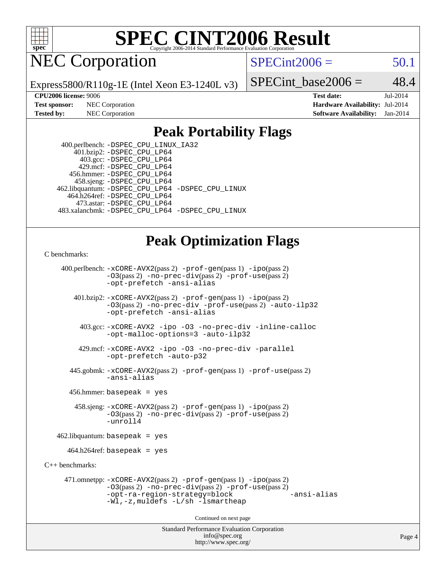

NEC Corporation

 $SPECint2006 = 50.1$  $SPECint2006 = 50.1$ 

Express5800/R110g-1E (Intel Xeon E3-1240L v3)

SPECint base2006 =  $48.4$ 

**[CPU2006 license:](http://www.spec.org/auto/cpu2006/Docs/result-fields.html#CPU2006license)** 9006 **[Test date:](http://www.spec.org/auto/cpu2006/Docs/result-fields.html#Testdate)** Jul-2014 **[Test sponsor:](http://www.spec.org/auto/cpu2006/Docs/result-fields.html#Testsponsor)** NEC Corporation **[Hardware Availability:](http://www.spec.org/auto/cpu2006/Docs/result-fields.html#HardwareAvailability)** Jul-2014 **[Tested by:](http://www.spec.org/auto/cpu2006/Docs/result-fields.html#Testedby)** NEC Corporation **[Software Availability:](http://www.spec.org/auto/cpu2006/Docs/result-fields.html#SoftwareAvailability)** Jan-2014

## **[Peak Portability Flags](http://www.spec.org/auto/cpu2006/Docs/result-fields.html#PeakPortabilityFlags)**

 400.perlbench: [-DSPEC\\_CPU\\_LINUX\\_IA32](http://www.spec.org/cpu2006/results/res2014q3/cpu2006-20140805-30764.flags.html#b400.perlbench_peakCPORTABILITY_DSPEC_CPU_LINUX_IA32) 401.bzip2: [-DSPEC\\_CPU\\_LP64](http://www.spec.org/cpu2006/results/res2014q3/cpu2006-20140805-30764.flags.html#suite_peakPORTABILITY401_bzip2_DSPEC_CPU_LP64) 403.gcc: [-DSPEC\\_CPU\\_LP64](http://www.spec.org/cpu2006/results/res2014q3/cpu2006-20140805-30764.flags.html#suite_peakPORTABILITY403_gcc_DSPEC_CPU_LP64) 429.mcf: [-DSPEC\\_CPU\\_LP64](http://www.spec.org/cpu2006/results/res2014q3/cpu2006-20140805-30764.flags.html#suite_peakPORTABILITY429_mcf_DSPEC_CPU_LP64) 456.hmmer: [-DSPEC\\_CPU\\_LP64](http://www.spec.org/cpu2006/results/res2014q3/cpu2006-20140805-30764.flags.html#suite_peakPORTABILITY456_hmmer_DSPEC_CPU_LP64) 458.sjeng: [-DSPEC\\_CPU\\_LP64](http://www.spec.org/cpu2006/results/res2014q3/cpu2006-20140805-30764.flags.html#suite_peakPORTABILITY458_sjeng_DSPEC_CPU_LP64) 462.libquantum: [-DSPEC\\_CPU\\_LP64](http://www.spec.org/cpu2006/results/res2014q3/cpu2006-20140805-30764.flags.html#suite_peakPORTABILITY462_libquantum_DSPEC_CPU_LP64) [-DSPEC\\_CPU\\_LINUX](http://www.spec.org/cpu2006/results/res2014q3/cpu2006-20140805-30764.flags.html#b462.libquantum_peakCPORTABILITY_DSPEC_CPU_LINUX) 464.h264ref: [-DSPEC\\_CPU\\_LP64](http://www.spec.org/cpu2006/results/res2014q3/cpu2006-20140805-30764.flags.html#suite_peakPORTABILITY464_h264ref_DSPEC_CPU_LP64) 473.astar: [-DSPEC\\_CPU\\_LP64](http://www.spec.org/cpu2006/results/res2014q3/cpu2006-20140805-30764.flags.html#suite_peakPORTABILITY473_astar_DSPEC_CPU_LP64) 483.xalancbmk: [-DSPEC\\_CPU\\_LP64](http://www.spec.org/cpu2006/results/res2014q3/cpu2006-20140805-30764.flags.html#suite_peakPORTABILITY483_xalancbmk_DSPEC_CPU_LP64) [-DSPEC\\_CPU\\_LINUX](http://www.spec.org/cpu2006/results/res2014q3/cpu2006-20140805-30764.flags.html#b483.xalancbmk_peakCXXPORTABILITY_DSPEC_CPU_LINUX)

# **[Peak Optimization Flags](http://www.spec.org/auto/cpu2006/Docs/result-fields.html#PeakOptimizationFlags)**

#### [C benchmarks](http://www.spec.org/auto/cpu2006/Docs/result-fields.html#Cbenchmarks):

Standard Performance Evaluation Corporation [info@spec.org](mailto:info@spec.org) 400.perlbench: [-xCORE-AVX2](http://www.spec.org/cpu2006/results/res2014q3/cpu2006-20140805-30764.flags.html#user_peakPASS2_CFLAGSPASS2_LDCFLAGS400_perlbench_f-xAVX2_5f5fc0cbe2c9f62c816d3e45806c70d7)(pass 2) [-prof-gen](http://www.spec.org/cpu2006/results/res2014q3/cpu2006-20140805-30764.flags.html#user_peakPASS1_CFLAGSPASS1_LDCFLAGS400_perlbench_prof_gen_e43856698f6ca7b7e442dfd80e94a8fc)(pass 1) [-ipo](http://www.spec.org/cpu2006/results/res2014q3/cpu2006-20140805-30764.flags.html#user_peakPASS2_CFLAGSPASS2_LDCFLAGS400_perlbench_f-ipo)(pass 2) [-O3](http://www.spec.org/cpu2006/results/res2014q3/cpu2006-20140805-30764.flags.html#user_peakPASS2_CFLAGSPASS2_LDCFLAGS400_perlbench_f-O3)(pass 2) [-no-prec-div](http://www.spec.org/cpu2006/results/res2014q3/cpu2006-20140805-30764.flags.html#user_peakPASS2_CFLAGSPASS2_LDCFLAGS400_perlbench_f-no-prec-div)(pass 2) [-prof-use](http://www.spec.org/cpu2006/results/res2014q3/cpu2006-20140805-30764.flags.html#user_peakPASS2_CFLAGSPASS2_LDCFLAGS400_perlbench_prof_use_bccf7792157ff70d64e32fe3e1250b55)(pass 2) [-opt-prefetch](http://www.spec.org/cpu2006/results/res2014q3/cpu2006-20140805-30764.flags.html#user_peakCOPTIMIZE400_perlbench_f-opt-prefetch) [-ansi-alias](http://www.spec.org/cpu2006/results/res2014q3/cpu2006-20140805-30764.flags.html#user_peakCOPTIMIZE400_perlbench_f-ansi-alias) 401.bzip2: [-xCORE-AVX2](http://www.spec.org/cpu2006/results/res2014q3/cpu2006-20140805-30764.flags.html#user_peakPASS2_CFLAGSPASS2_LDCFLAGS401_bzip2_f-xAVX2_5f5fc0cbe2c9f62c816d3e45806c70d7)(pass 2) [-prof-gen](http://www.spec.org/cpu2006/results/res2014q3/cpu2006-20140805-30764.flags.html#user_peakPASS1_CFLAGSPASS1_LDCFLAGS401_bzip2_prof_gen_e43856698f6ca7b7e442dfd80e94a8fc)(pass 1) [-ipo](http://www.spec.org/cpu2006/results/res2014q3/cpu2006-20140805-30764.flags.html#user_peakPASS2_CFLAGSPASS2_LDCFLAGS401_bzip2_f-ipo)(pass 2) [-O3](http://www.spec.org/cpu2006/results/res2014q3/cpu2006-20140805-30764.flags.html#user_peakPASS2_CFLAGSPASS2_LDCFLAGS401_bzip2_f-O3)(pass 2) [-no-prec-div](http://www.spec.org/cpu2006/results/res2014q3/cpu2006-20140805-30764.flags.html#user_peakCOPTIMIZEPASS2_CFLAGSPASS2_LDCFLAGS401_bzip2_f-no-prec-div) [-prof-use](http://www.spec.org/cpu2006/results/res2014q3/cpu2006-20140805-30764.flags.html#user_peakPASS2_CFLAGSPASS2_LDCFLAGS401_bzip2_prof_use_bccf7792157ff70d64e32fe3e1250b55)(pass 2) [-auto-ilp32](http://www.spec.org/cpu2006/results/res2014q3/cpu2006-20140805-30764.flags.html#user_peakCOPTIMIZE401_bzip2_f-auto-ilp32) [-opt-prefetch](http://www.spec.org/cpu2006/results/res2014q3/cpu2006-20140805-30764.flags.html#user_peakCOPTIMIZE401_bzip2_f-opt-prefetch) [-ansi-alias](http://www.spec.org/cpu2006/results/res2014q3/cpu2006-20140805-30764.flags.html#user_peakCOPTIMIZE401_bzip2_f-ansi-alias) 403.gcc: [-xCORE-AVX2](http://www.spec.org/cpu2006/results/res2014q3/cpu2006-20140805-30764.flags.html#user_peakCOPTIMIZE403_gcc_f-xAVX2_5f5fc0cbe2c9f62c816d3e45806c70d7) [-ipo](http://www.spec.org/cpu2006/results/res2014q3/cpu2006-20140805-30764.flags.html#user_peakCOPTIMIZE403_gcc_f-ipo) [-O3](http://www.spec.org/cpu2006/results/res2014q3/cpu2006-20140805-30764.flags.html#user_peakCOPTIMIZE403_gcc_f-O3) [-no-prec-div](http://www.spec.org/cpu2006/results/res2014q3/cpu2006-20140805-30764.flags.html#user_peakCOPTIMIZE403_gcc_f-no-prec-div) [-inline-calloc](http://www.spec.org/cpu2006/results/res2014q3/cpu2006-20140805-30764.flags.html#user_peakCOPTIMIZE403_gcc_f-inline-calloc) [-opt-malloc-options=3](http://www.spec.org/cpu2006/results/res2014q3/cpu2006-20140805-30764.flags.html#user_peakCOPTIMIZE403_gcc_f-opt-malloc-options_13ab9b803cf986b4ee62f0a5998c2238) [-auto-ilp32](http://www.spec.org/cpu2006/results/res2014q3/cpu2006-20140805-30764.flags.html#user_peakCOPTIMIZE403_gcc_f-auto-ilp32) 429.mcf: [-xCORE-AVX2](http://www.spec.org/cpu2006/results/res2014q3/cpu2006-20140805-30764.flags.html#user_peakCOPTIMIZE429_mcf_f-xAVX2_5f5fc0cbe2c9f62c816d3e45806c70d7) [-ipo](http://www.spec.org/cpu2006/results/res2014q3/cpu2006-20140805-30764.flags.html#user_peakCOPTIMIZE429_mcf_f-ipo) [-O3](http://www.spec.org/cpu2006/results/res2014q3/cpu2006-20140805-30764.flags.html#user_peakCOPTIMIZE429_mcf_f-O3) [-no-prec-div](http://www.spec.org/cpu2006/results/res2014q3/cpu2006-20140805-30764.flags.html#user_peakCOPTIMIZE429_mcf_f-no-prec-div) [-parallel](http://www.spec.org/cpu2006/results/res2014q3/cpu2006-20140805-30764.flags.html#user_peakCOPTIMIZE429_mcf_f-parallel) [-opt-prefetch](http://www.spec.org/cpu2006/results/res2014q3/cpu2006-20140805-30764.flags.html#user_peakCOPTIMIZE429_mcf_f-opt-prefetch) [-auto-p32](http://www.spec.org/cpu2006/results/res2014q3/cpu2006-20140805-30764.flags.html#user_peakCOPTIMIZE429_mcf_f-auto-p32) 445.gobmk: [-xCORE-AVX2](http://www.spec.org/cpu2006/results/res2014q3/cpu2006-20140805-30764.flags.html#user_peakPASS2_CFLAGSPASS2_LDCFLAGS445_gobmk_f-xAVX2_5f5fc0cbe2c9f62c816d3e45806c70d7)(pass 2) [-prof-gen](http://www.spec.org/cpu2006/results/res2014q3/cpu2006-20140805-30764.flags.html#user_peakPASS1_CFLAGSPASS1_LDCFLAGS445_gobmk_prof_gen_e43856698f6ca7b7e442dfd80e94a8fc)(pass 1) [-prof-use](http://www.spec.org/cpu2006/results/res2014q3/cpu2006-20140805-30764.flags.html#user_peakPASS2_CFLAGSPASS2_LDCFLAGS445_gobmk_prof_use_bccf7792157ff70d64e32fe3e1250b55)(pass 2) [-ansi-alias](http://www.spec.org/cpu2006/results/res2014q3/cpu2006-20140805-30764.flags.html#user_peakCOPTIMIZE445_gobmk_f-ansi-alias) 456.hmmer: basepeak = yes 458.sjeng: [-xCORE-AVX2](http://www.spec.org/cpu2006/results/res2014q3/cpu2006-20140805-30764.flags.html#user_peakPASS2_CFLAGSPASS2_LDCFLAGS458_sjeng_f-xAVX2_5f5fc0cbe2c9f62c816d3e45806c70d7)(pass 2) [-prof-gen](http://www.spec.org/cpu2006/results/res2014q3/cpu2006-20140805-30764.flags.html#user_peakPASS1_CFLAGSPASS1_LDCFLAGS458_sjeng_prof_gen_e43856698f6ca7b7e442dfd80e94a8fc)(pass 1) [-ipo](http://www.spec.org/cpu2006/results/res2014q3/cpu2006-20140805-30764.flags.html#user_peakPASS2_CFLAGSPASS2_LDCFLAGS458_sjeng_f-ipo)(pass 2) [-O3](http://www.spec.org/cpu2006/results/res2014q3/cpu2006-20140805-30764.flags.html#user_peakPASS2_CFLAGSPASS2_LDCFLAGS458_sjeng_f-O3)(pass 2) [-no-prec-div](http://www.spec.org/cpu2006/results/res2014q3/cpu2006-20140805-30764.flags.html#user_peakPASS2_CFLAGSPASS2_LDCFLAGS458_sjeng_f-no-prec-div)(pass 2) [-prof-use](http://www.spec.org/cpu2006/results/res2014q3/cpu2006-20140805-30764.flags.html#user_peakPASS2_CFLAGSPASS2_LDCFLAGS458_sjeng_prof_use_bccf7792157ff70d64e32fe3e1250b55)(pass 2) [-unroll4](http://www.spec.org/cpu2006/results/res2014q3/cpu2006-20140805-30764.flags.html#user_peakCOPTIMIZE458_sjeng_f-unroll_4e5e4ed65b7fd20bdcd365bec371b81f) 462.libquantum: basepeak = yes  $464.h264$ ref: basepeak = yes [C++ benchmarks:](http://www.spec.org/auto/cpu2006/Docs/result-fields.html#CXXbenchmarks) 471.omnetpp: [-xCORE-AVX2](http://www.spec.org/cpu2006/results/res2014q3/cpu2006-20140805-30764.flags.html#user_peakPASS2_CXXFLAGSPASS2_LDCXXFLAGS471_omnetpp_f-xAVX2_5f5fc0cbe2c9f62c816d3e45806c70d7)(pass 2) [-prof-gen](http://www.spec.org/cpu2006/results/res2014q3/cpu2006-20140805-30764.flags.html#user_peakPASS1_CXXFLAGSPASS1_LDCXXFLAGS471_omnetpp_prof_gen_e43856698f6ca7b7e442dfd80e94a8fc)(pass 1) [-ipo](http://www.spec.org/cpu2006/results/res2014q3/cpu2006-20140805-30764.flags.html#user_peakPASS2_CXXFLAGSPASS2_LDCXXFLAGS471_omnetpp_f-ipo)(pass 2) [-O3](http://www.spec.org/cpu2006/results/res2014q3/cpu2006-20140805-30764.flags.html#user_peakPASS2_CXXFLAGSPASS2_LDCXXFLAGS471_omnetpp_f-O3)(pass 2) [-no-prec-div](http://www.spec.org/cpu2006/results/res2014q3/cpu2006-20140805-30764.flags.html#user_peakPASS2_CXXFLAGSPASS2_LDCXXFLAGS471_omnetpp_f-no-prec-div)(pass 2) [-prof-use](http://www.spec.org/cpu2006/results/res2014q3/cpu2006-20140805-30764.flags.html#user_peakPASS2_CXXFLAGSPASS2_LDCXXFLAGS471_omnetpp_prof_use_bccf7792157ff70d64e32fe3e1250b55)(pass 2) [-opt-ra-region-strategy=block](http://www.spec.org/cpu2006/results/res2014q3/cpu2006-20140805-30764.flags.html#user_peakCXXOPTIMIZE471_omnetpp_f-opt-ra-region-strategy_5382940c29ea30302d682fc74bfe0147) [-ansi-alias](http://www.spec.org/cpu2006/results/res2014q3/cpu2006-20140805-30764.flags.html#user_peakCXXOPTIMIZE471_omnetpp_f-ansi-alias) [-Wl,-z,muldefs](http://www.spec.org/cpu2006/results/res2014q3/cpu2006-20140805-30764.flags.html#user_peakEXTRA_LDFLAGS471_omnetpp_link_force_multiple1_74079c344b956b9658436fd1b6dd3a8a) [-L/sh -lsmartheap](http://www.spec.org/cpu2006/results/res2014q3/cpu2006-20140805-30764.flags.html#user_peakEXTRA_LIBS471_omnetpp_SmartHeap_32f6c82aa1ed9c52345d30cf6e4a0499) Continued on next page

<http://www.spec.org/>